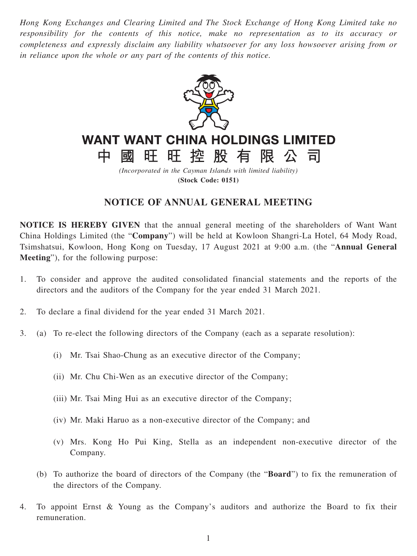*Hong Kong Exchanges and Clearing Limited and The Stock Exchange of Hong Kong Limited take no responsibility for the contents of this notice, make no representation as to its accuracy or completeness and expressly disclaim any liability whatsoever for any loss howsoever arising from or in reliance upon the whole or any part of the contents of this notice.*



# **WANT WANT CHINA HOLDINGS LIMITED**

旺旺控股有限公

히

*(Incorporated in the Cayman Islands with limited liability)* **(Stock Code: 0151)**

# **NOTICE OF ANNUAL GENERAL MEETING**

**NOTICE IS HEREBY GIVEN** that the annual general meeting of the shareholders of Want Want China Holdings Limited (the "**Company**") will be held at Kowloon Shangri-La Hotel, 64 Mody Road, Tsimshatsui, Kowloon, Hong Kong on Tuesday, 17 August 2021 at 9:00 a.m. (the "**Annual General Meeting**"), for the following purpose:

- 1. To consider and approve the audited consolidated financial statements and the reports of the directors and the auditors of the Company for the year ended 31 March 2021.
- 2. To declare a final dividend for the year ended 31 March 2021.

中

國

- 3. (a) To re-elect the following directors of the Company (each as a separate resolution):
	- (i) Mr. Tsai Shao-Chung as an executive director of the Company;
	- (ii) Mr. Chu Chi-Wen as an executive director of the Company;
	- (iii) Mr. Tsai Ming Hui as an executive director of the Company;
	- (iv) Mr. Maki Haruo as a non-executive director of the Company; and
	- (v) Mrs. Kong Ho Pui King, Stella as an independent non-executive director of the Company.
	- (b) To authorize the board of directors of the Company (the "**Board**") to fix the remuneration of the directors of the Company.
- 4. To appoint Ernst & Young as the Company's auditors and authorize the Board to fix their remuneration.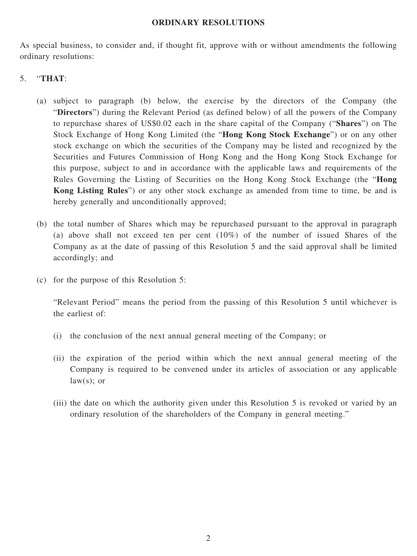#### **ORDINARY RESOLUTIONS**

As special business, to consider and, if thought fit, approve with or without amendments the following ordinary resolutions:

### 5. "**THAT**:

- (a) subject to paragraph (b) below, the exercise by the directors of the Company (the "**Directors**") during the Relevant Period (as defined below) of all the powers of the Company to repurchase shares of US\$0.02 each in the share capital of the Company ("**Shares**") on The Stock Exchange of Hong Kong Limited (the "**Hong Kong Stock Exchange**") or on any other stock exchange on which the securities of the Company may be listed and recognized by the Securities and Futures Commission of Hong Kong and the Hong Kong Stock Exchange for this purpose, subject to and in accordance with the applicable laws and requirements of the Rules Governing the Listing of Securities on the Hong Kong Stock Exchange (the "**Hong Kong Listing Rules**") or any other stock exchange as amended from time to time, be and is hereby generally and unconditionally approved;
- (b) the total number of Shares which may be repurchased pursuant to the approval in paragraph (a) above shall not exceed ten per cent (10%) of the number of issued Shares of the Company as at the date of passing of this Resolution 5 and the said approval shall be limited accordingly; and
- (c) for the purpose of this Resolution 5:

"Relevant Period" means the period from the passing of this Resolution 5 until whichever is the earliest of:

- (i) the conclusion of the next annual general meeting of the Company; or
- (ii) the expiration of the period within which the next annual general meeting of the Company is required to be convened under its articles of association or any applicable  $law(s);$  or
- (iii) the date on which the authority given under this Resolution 5 is revoked or varied by an ordinary resolution of the shareholders of the Company in general meeting."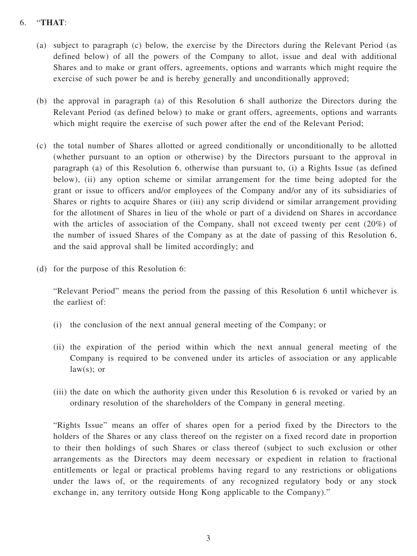## 6. "**THAT**:

- (a) subject to paragraph (c) below, the exercise by the Directors during the Relevant Period (as defined below) of all the powers of the Company to allot, issue and deal with additional Shares and to make or grant offers, agreements, options and warrants which might require the exercise of such power be and is hereby generally and unconditionally approved;
- (b) the approval in paragraph (a) of this Resolution 6 shall authorize the Directors during the Relevant Period (as defined below) to make or grant offers, agreements, options and warrants which might require the exercise of such power after the end of the Relevant Period;
- (c) the total number of Shares allotted or agreed conditionally or unconditionally to be allotted (whether pursuant to an option or otherwise) by the Directors pursuant to the approval in paragraph (a) of this Resolution 6, otherwise than pursuant to, (i) a Rights Issue (as defined below), (ii) any option scheme or similar arrangement for the time being adopted for the grant or issue to officers and/or employees of the Company and/or any of its subsidiaries of Shares or rights to acquire Shares or (iii) any scrip dividend or similar arrangement providing for the allotment of Shares in lieu of the whole or part of a dividend on Shares in accordance with the articles of association of the Company, shall not exceed twenty per cent (20%) of the number of issued Shares of the Company as at the date of passing of this Resolution 6, and the said approval shall be limited accordingly; and
- (d) for the purpose of this Resolution 6:

"Relevant Period" means the period from the passing of this Resolution 6 until whichever is the earliest of:

- (i) the conclusion of the next annual general meeting of the Company; or
- (ii) the expiration of the period within which the next annual general meeting of the Company is required to be convened under its articles of association or any applicable  $law(s);$  or
- (iii) the date on which the authority given under this Resolution 6 is revoked or varied by an ordinary resolution of the shareholders of the Company in general meeting.

"Rights Issue" means an offer of shares open for a period fixed by the Directors to the holders of the Shares or any class thereof on the register on a fixed record date in proportion to their then holdings of such Shares or class thereof (subject to such exclusion or other arrangements as the Directors may deem necessary or expedient in relation to fractional entitlements or legal or practical problems having regard to any restrictions or obligations under the laws of, or the requirements of any recognized regulatory body or any stock exchange in, any territory outside Hong Kong applicable to the Company)."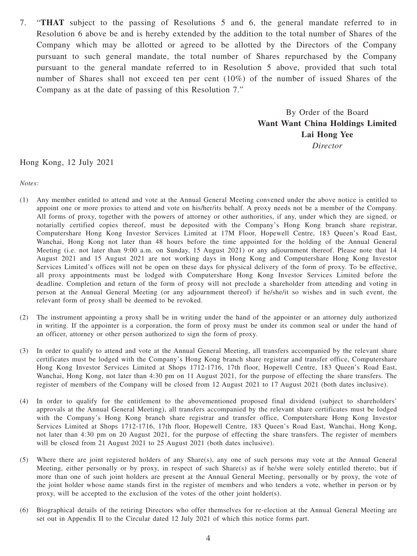7. "**THAT** subject to the passing of Resolutions 5 and 6, the general mandate referred to in Resolution 6 above be and is hereby extended by the addition to the total number of Shares of the Company which may be allotted or agreed to be allotted by the Directors of the Company pursuant to such general mandate, the total number of Shares repurchased by the Company pursuant to the general mandate referred to in Resolution 5 above, provided that such total number of Shares shall not exceed ten per cent (10%) of the number of issued Shares of the Company as at the date of passing of this Resolution 7."

> By Order of the Board **Want Want China Holdings Limited Lai Hong Yee**

> > *Director*

Hong Kong, 12 July 2021

*Notes:*

- (1) Any member entitled to attend and vote at the Annual General Meeting convened under the above notice is entitled to appoint one or more proxies to attend and vote on his/her/its behalf. A proxy needs not be a member of the Company. All forms of proxy, together with the powers of attorney or other authorities, if any, under which they are signed, or notarially certified copies thereof, must be deposited with the Company's Hong Kong branch share registrar, Computershare Hong Kong Investor Services Limited at 17M Floor, Hopewell Centre, 183 Queen's Road East, Wanchai, Hong Kong not later than 48 hours before the time appointed for the holding of the Annual General Meeting (i.e. not later than 9:00 a.m. on Sunday, 15 August 2021) or any adjournment thereof. Please note that 14 August 2021 and 15 August 2021 are not working days in Hong Kong and Computershare Hong Kong Investor Services Limited's offices will not be open on these days for physical delivery of the form of proxy. To be effective, all proxy appointments must be lodged with Computershare Hong Kong Investor Services Limited before the deadline. Completion and return of the form of proxy will not preclude a shareholder from attending and voting in person at the Annual General Meeting (or any adjournment thereof) if he/she/it so wishes and in such event, the relevant form of proxy shall be deemed to be revoked.
- (2) The instrument appointing a proxy shall be in writing under the hand of the appointer or an attorney duly authorized in writing. If the appointer is a corporation, the form of proxy must be under its common seal or under the hand of an officer, attorney or other person authorized to sign the form of proxy.
- (3) In order to qualify to attend and vote at the Annual General Meeting, all transfers accompanied by the relevant share certificates must be lodged with the Company's Hong Kong branch share registrar and transfer office, Computershare Hong Kong Investor Services Limited at Shops 1712-1716, 17th floor, Hopewell Centre, 183 Queen's Road East, Wanchai, Hong Kong, not later than 4:30 pm on 11 August 2021, for the purpose of effecting the share transfers. The register of members of the Company will be closed from 12 August 2021 to 17 August 2021 (both dates inclusive).
- (4) In order to qualify for the entitlement to the abovementioned proposed final dividend (subject to shareholders' approvals at the Annual General Meeting), all transfers accompanied by the relevant share certificates must be lodged with the Company's Hong Kong branch share registrar and transfer office, Computershare Hong Kong Investor Services Limited at Shops 1712-1716, 17th floor, Hopewell Centre, 183 Queen's Road East, Wanchai, Hong Kong, not later than 4:30 pm on 20 August 2021, for the purpose of effecting the share transfers. The register of members will be closed from 21 August 2021 to 25 August 2021 (both dates inclusive).
- (5) Where there are joint registered holders of any Share(s), any one of such persons may vote at the Annual General Meeting, either personally or by proxy, in respect of such Share(s) as if he/she were solely entitled thereto; but if more than one of such joint holders are present at the Annual General Meeting, personally or by proxy, the vote of the joint holder whose name stands first in the register of members and who tenders a vote, whether in person or by proxy, will be accepted to the exclusion of the votes of the other joint holder(s).
- (6) Biographical details of the retiring Directors who offer themselves for re-election at the Annual General Meeting are set out in Appendix II to the Circular dated 12 July 2021 of which this notice forms part.